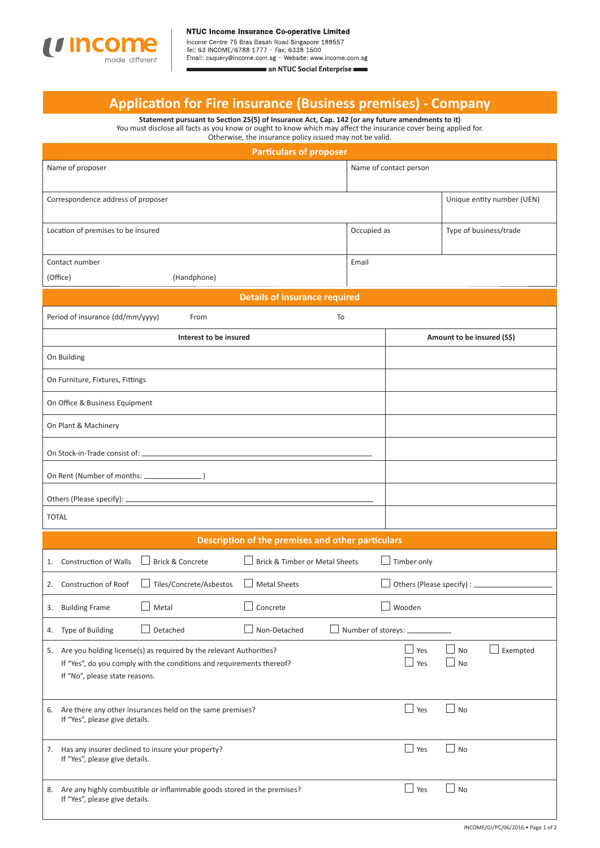

Email: csquery@income.com.sg · Website: www.income.com.sg an NTUC Social Enterprise

## **Applicati on for Fire insurance (Business premises) - Company**

**Statement pursuant to Secti on 25(5) of Insurance Act, Cap. 142 (or any future amendments to it)** You must disclose all facts as you know or ought to know which may affect the insurance cover being applied for. Otherwise, the insurance policy issued may not be valid.

| <b>Particulars of proposer</b>                                                                                                                                                    |                                       |            |                            |  |  |  |  |
|-----------------------------------------------------------------------------------------------------------------------------------------------------------------------------------|---------------------------------------|------------|----------------------------|--|--|--|--|
| Name of proposer                                                                                                                                                                  | Name of contact person                |            |                            |  |  |  |  |
| Correspondence address of proposer                                                                                                                                                |                                       |            | Unique entity number (UEN) |  |  |  |  |
| Location of premises to be insured                                                                                                                                                | Occupied as<br>Type of business/trade |            |                            |  |  |  |  |
| Contact number                                                                                                                                                                    | Email                                 |            |                            |  |  |  |  |
| (Office)<br>(Handphone)                                                                                                                                                           |                                       |            |                            |  |  |  |  |
| <b>Details of insurance required</b>                                                                                                                                              |                                       |            |                            |  |  |  |  |
| Period of insurance (dd/mm/yyyy)<br>To<br>From                                                                                                                                    |                                       |            |                            |  |  |  |  |
| Interest to be insured                                                                                                                                                            |                                       |            | Amount to be insured (S\$) |  |  |  |  |
| On Building                                                                                                                                                                       |                                       |            |                            |  |  |  |  |
| On Furniture, Fixtures, Fittings                                                                                                                                                  |                                       |            |                            |  |  |  |  |
| On Office & Business Equipment                                                                                                                                                    |                                       |            |                            |  |  |  |  |
| On Plant & Machinery                                                                                                                                                              |                                       |            |                            |  |  |  |  |
|                                                                                                                                                                                   |                                       |            |                            |  |  |  |  |
| On Rent (Number of months: _____________                                                                                                                                          |                                       |            |                            |  |  |  |  |
| Others (Please specify): _                                                                                                                                                        |                                       |            |                            |  |  |  |  |
| <b>TOTAL</b>                                                                                                                                                                      |                                       |            |                            |  |  |  |  |
| Description of the premises and other particulars                                                                                                                                 |                                       |            |                            |  |  |  |  |
| <b>Brick &amp; Concrete</b><br>Brick & Timber or Metal Sheets<br>Timber only<br>Construction of Walls<br>1.                                                                       |                                       |            |                            |  |  |  |  |
| Tiles/Concrete/Asbestos<br>Others (Please specify) : __<br>2. Construction of Roof<br><b>Metal Sheets</b>                                                                         |                                       |            |                            |  |  |  |  |
| <b>Building Frame</b><br>Metal<br>Concrete<br>Wooden<br>3.                                                                                                                        |                                       |            |                            |  |  |  |  |
| Detached<br>Non-Detached<br>Type of Building<br>4.                                                                                                                                | Number of storeys: _                  |            |                            |  |  |  |  |
| 5. Are you holding license(s) as required by the relevant Authorities?<br>If "Yes", do you comply with the conditions and requirements thereof?<br>If "No", please state reasons. |                                       | Yes<br>Yes | Exempted<br>No<br>No       |  |  |  |  |
| Are there any other insurances held on the same premises?<br>6.<br>If "Yes", please give details.                                                                                 |                                       | Yes        | No                         |  |  |  |  |
| 7. Has any insurer declined to insure your property?<br>If "Yes", please give details.                                                                                            |                                       | $\Box$ Yes | $\Box$ No                  |  |  |  |  |
| 8. Are any highly combustible or inflammable goods stored in the premises?<br>If "Yes", please give details.                                                                      |                                       | $\Box$ Yes | $\Box$ No                  |  |  |  |  |